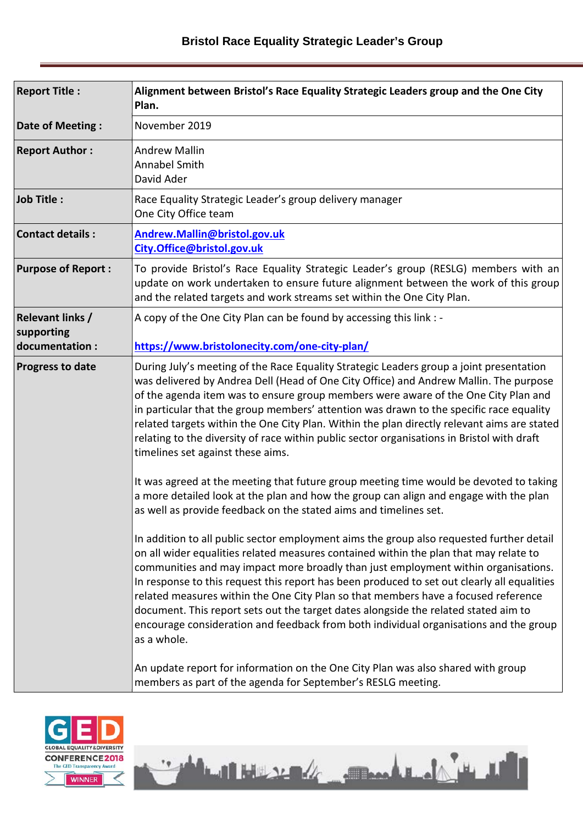| <b>Report Title:</b>                                    | Alignment between Bristol's Race Equality Strategic Leaders group and the One City<br>Plan.                                                                                                                                                                                                                                                                                                                                                                                                                                                                                                                                                                                                                                                                                                                                                                                                                                                                                                                                                                                                                                                                                                                                                                                                                                                                                                                                                                                                                                                                                                                                                                                    |  |
|---------------------------------------------------------|--------------------------------------------------------------------------------------------------------------------------------------------------------------------------------------------------------------------------------------------------------------------------------------------------------------------------------------------------------------------------------------------------------------------------------------------------------------------------------------------------------------------------------------------------------------------------------------------------------------------------------------------------------------------------------------------------------------------------------------------------------------------------------------------------------------------------------------------------------------------------------------------------------------------------------------------------------------------------------------------------------------------------------------------------------------------------------------------------------------------------------------------------------------------------------------------------------------------------------------------------------------------------------------------------------------------------------------------------------------------------------------------------------------------------------------------------------------------------------------------------------------------------------------------------------------------------------------------------------------------------------------------------------------------------------|--|
| Date of Meeting:                                        | November 2019                                                                                                                                                                                                                                                                                                                                                                                                                                                                                                                                                                                                                                                                                                                                                                                                                                                                                                                                                                                                                                                                                                                                                                                                                                                                                                                                                                                                                                                                                                                                                                                                                                                                  |  |
| <b>Report Author:</b>                                   | <b>Andrew Mallin</b><br>Annabel Smith<br>David Ader                                                                                                                                                                                                                                                                                                                                                                                                                                                                                                                                                                                                                                                                                                                                                                                                                                                                                                                                                                                                                                                                                                                                                                                                                                                                                                                                                                                                                                                                                                                                                                                                                            |  |
| Job Title:                                              | Race Equality Strategic Leader's group delivery manager<br>One City Office team                                                                                                                                                                                                                                                                                                                                                                                                                                                                                                                                                                                                                                                                                                                                                                                                                                                                                                                                                                                                                                                                                                                                                                                                                                                                                                                                                                                                                                                                                                                                                                                                |  |
| <b>Contact details:</b>                                 | Andrew.Mallin@bristol.gov.uk<br>City.Office@bristol.gov.uk                                                                                                                                                                                                                                                                                                                                                                                                                                                                                                                                                                                                                                                                                                                                                                                                                                                                                                                                                                                                                                                                                                                                                                                                                                                                                                                                                                                                                                                                                                                                                                                                                     |  |
| <b>Purpose of Report:</b>                               | To provide Bristol's Race Equality Strategic Leader's group (RESLG) members with an<br>update on work undertaken to ensure future alignment between the work of this group<br>and the related targets and work streams set within the One City Plan.                                                                                                                                                                                                                                                                                                                                                                                                                                                                                                                                                                                                                                                                                                                                                                                                                                                                                                                                                                                                                                                                                                                                                                                                                                                                                                                                                                                                                           |  |
| <b>Relevant links /</b><br>supporting<br>documentation: | A copy of the One City Plan can be found by accessing this link : -<br>https://www.bristolonecity.com/one-city-plan/                                                                                                                                                                                                                                                                                                                                                                                                                                                                                                                                                                                                                                                                                                                                                                                                                                                                                                                                                                                                                                                                                                                                                                                                                                                                                                                                                                                                                                                                                                                                                           |  |
| <b>Progress to date</b>                                 | During July's meeting of the Race Equality Strategic Leaders group a joint presentation<br>was delivered by Andrea Dell (Head of One City Office) and Andrew Mallin. The purpose<br>of the agenda item was to ensure group members were aware of the One City Plan and<br>in particular that the group members' attention was drawn to the specific race equality<br>related targets within the One City Plan. Within the plan directly relevant aims are stated<br>relating to the diversity of race within public sector organisations in Bristol with draft<br>timelines set against these aims.<br>It was agreed at the meeting that future group meeting time would be devoted to taking<br>a more detailed look at the plan and how the group can align and engage with the plan<br>as well as provide feedback on the stated aims and timelines set.<br>In addition to all public sector employment aims the group also requested further detail<br>on all wider equalities related measures contained within the plan that may relate to<br>communities and may impact more broadly than just employment within organisations.<br>In response to this request this report has been produced to set out clearly all equalities<br>related measures within the One City Plan so that members have a focused reference<br>document. This report sets out the target dates alongside the related stated aim to<br>encourage consideration and feedback from both individual organisations and the group<br>as a whole.<br>An update report for information on the One City Plan was also shared with group<br>members as part of the agenda for September's RESLG meeting. |  |



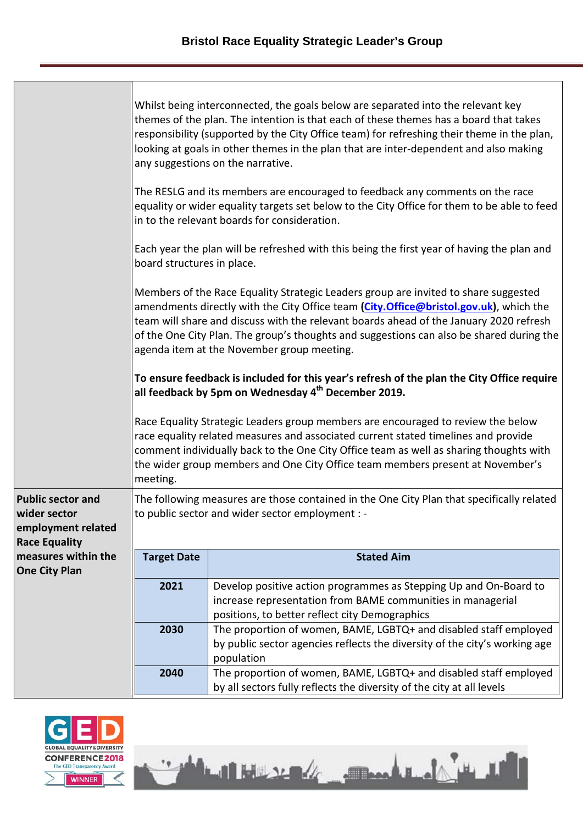|                                                            | Whilst being interconnected, the goals below are separated into the relevant key<br>themes of the plan. The intention is that each of these themes has a board that takes<br>responsibility (supported by the City Office team) for refreshing their theme in the plan,<br>looking at goals in other themes in the plan that are inter-dependent and also making<br>any suggestions on the narrative.            |                                                                                                                                                                                                                                                                                                                                                    |  |  |
|------------------------------------------------------------|------------------------------------------------------------------------------------------------------------------------------------------------------------------------------------------------------------------------------------------------------------------------------------------------------------------------------------------------------------------------------------------------------------------|----------------------------------------------------------------------------------------------------------------------------------------------------------------------------------------------------------------------------------------------------------------------------------------------------------------------------------------------------|--|--|
|                                                            |                                                                                                                                                                                                                                                                                                                                                                                                                  | The RESLG and its members are encouraged to feedback any comments on the race<br>equality or wider equality targets set below to the City Office for them to be able to feed<br>in to the relevant boards for consideration.                                                                                                                       |  |  |
|                                                            | board structures in place.                                                                                                                                                                                                                                                                                                                                                                                       | Each year the plan will be refreshed with this being the first year of having the plan and                                                                                                                                                                                                                                                         |  |  |
|                                                            | Members of the Race Equality Strategic Leaders group are invited to share suggested<br>amendments directly with the City Office team (City.Office@bristol.gov.uk), which the<br>team will share and discuss with the relevant boards ahead of the January 2020 refresh<br>of the One City Plan. The group's thoughts and suggestions can also be shared during the<br>agenda item at the November group meeting. |                                                                                                                                                                                                                                                                                                                                                    |  |  |
|                                                            | To ensure feedback is included for this year's refresh of the plan the City Office require<br>all feedback by 5pm on Wednesday 4 <sup>th</sup> December 2019.                                                                                                                                                                                                                                                    |                                                                                                                                                                                                                                                                                                                                                    |  |  |
|                                                            | meeting.                                                                                                                                                                                                                                                                                                                                                                                                         | Race Equality Strategic Leaders group members are encouraged to review the below<br>race equality related measures and associated current stated timelines and provide<br>comment individually back to the One City Office team as well as sharing thoughts with<br>the wider group members and One City Office team members present at November's |  |  |
| <b>Public sector and</b>                                   |                                                                                                                                                                                                                                                                                                                                                                                                                  | The following measures are those contained in the One City Plan that specifically related                                                                                                                                                                                                                                                          |  |  |
| wider sector<br>employment related<br><b>Race Equality</b> |                                                                                                                                                                                                                                                                                                                                                                                                                  | to public sector and wider sector employment : -                                                                                                                                                                                                                                                                                                   |  |  |
| measures within the<br><b>One City Plan</b>                | <b>Target Date</b>                                                                                                                                                                                                                                                                                                                                                                                               | <b>Stated Aim</b>                                                                                                                                                                                                                                                                                                                                  |  |  |
|                                                            | 2021                                                                                                                                                                                                                                                                                                                                                                                                             | Develop positive action programmes as Stepping Up and On-Board to                                                                                                                                                                                                                                                                                  |  |  |
|                                                            |                                                                                                                                                                                                                                                                                                                                                                                                                  | increase representation from BAME communities in managerial                                                                                                                                                                                                                                                                                        |  |  |
|                                                            |                                                                                                                                                                                                                                                                                                                                                                                                                  | positions, to better reflect city Demographics                                                                                                                                                                                                                                                                                                     |  |  |
|                                                            | 2030                                                                                                                                                                                                                                                                                                                                                                                                             | The proportion of women, BAME, LGBTQ+ and disabled staff employed                                                                                                                                                                                                                                                                                  |  |  |
|                                                            |                                                                                                                                                                                                                                                                                                                                                                                                                  | by public sector agencies reflects the diversity of the city's working age<br>population                                                                                                                                                                                                                                                           |  |  |
|                                                            | 2040                                                                                                                                                                                                                                                                                                                                                                                                             | The proportion of women, BAME, LGBTQ+ and disabled staff employed                                                                                                                                                                                                                                                                                  |  |  |

by all sectors fully reflects the diversity of the city at all levels

Latitude de Companie de la

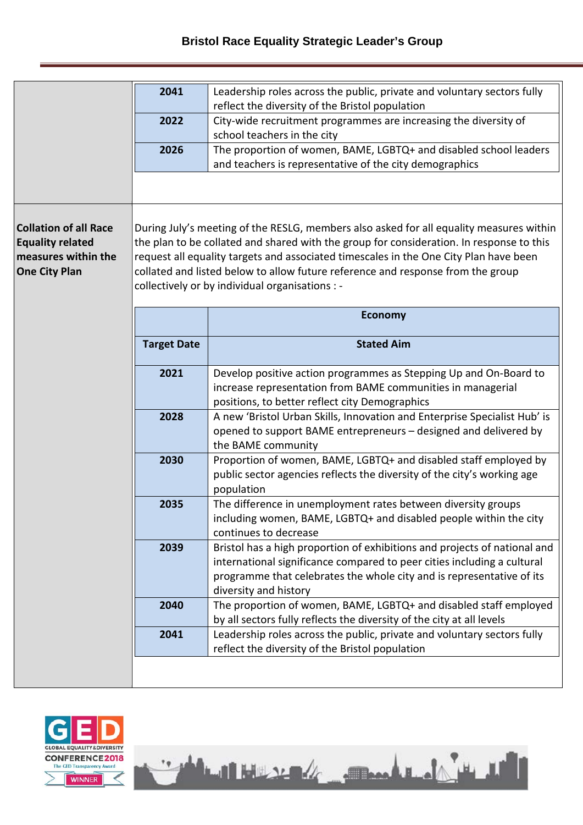| 2041 | Leadership roles across the public, private and voluntary sectors fully |
|------|-------------------------------------------------------------------------|
|      | reflect the diversity of the Bristol population                         |
| 2022 | City-wide recruitment programmes are increasing the diversity of        |
|      | school teachers in the city                                             |
| 2026 | The proportion of women, BAME, LGBTQ+ and disabled school leaders       |
|      | and teachers is representative of the city demographics                 |

## **Collation of all Race Equality related measures within the One City Plan**

During July's meeting of the RESLG, members also asked for all equality measures within the plan to be collated and shared with the group for consideration. In response to this request all equality targets and associated timescales in the One City Plan have been collated and listed below to allow future reference and response from the group collectively or by individual organisations : -

|                    | <b>Economy</b>                                                                                                                                                                                                                                         |
|--------------------|--------------------------------------------------------------------------------------------------------------------------------------------------------------------------------------------------------------------------------------------------------|
| <b>Target Date</b> | <b>Stated Aim</b>                                                                                                                                                                                                                                      |
| 2021               | Develop positive action programmes as Stepping Up and On-Board to<br>increase representation from BAME communities in managerial<br>positions, to better reflect city Demographics                                                                     |
| 2028               | A new 'Bristol Urban Skills, Innovation and Enterprise Specialist Hub' is<br>opened to support BAME entrepreneurs - designed and delivered by<br>the BAME community                                                                                    |
| 2030               | Proportion of women, BAME, LGBTQ+ and disabled staff employed by<br>public sector agencies reflects the diversity of the city's working age<br>population                                                                                              |
| 2035               | The difference in unemployment rates between diversity groups<br>including women, BAME, LGBTQ+ and disabled people within the city<br>continues to decrease                                                                                            |
| 2039               | Bristol has a high proportion of exhibitions and projects of national and<br>international significance compared to peer cities including a cultural<br>programme that celebrates the whole city and is representative of its<br>diversity and history |
| 2040               | The proportion of women, BAME, LGBTQ+ and disabled staff employed<br>by all sectors fully reflects the diversity of the city at all levels                                                                                                             |
| 2041               | Leadership roles across the public, private and voluntary sectors fully<br>reflect the diversity of the Bristol population                                                                                                                             |

<u>Latituse & Josef Latitud</u>

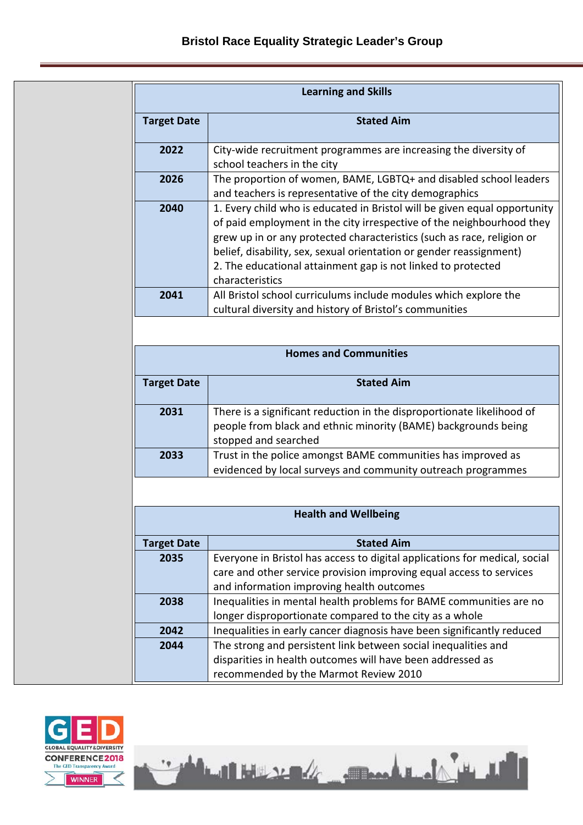| <b>Learning and Skills</b> |                                                                                                                                                                                                                                                                                                                                                                                        |  |  |
|----------------------------|----------------------------------------------------------------------------------------------------------------------------------------------------------------------------------------------------------------------------------------------------------------------------------------------------------------------------------------------------------------------------------------|--|--|
| <b>Target Date</b>         | <b>Stated Aim</b>                                                                                                                                                                                                                                                                                                                                                                      |  |  |
| 2022                       | City-wide recruitment programmes are increasing the diversity of<br>school teachers in the city                                                                                                                                                                                                                                                                                        |  |  |
| 2026                       | The proportion of women, BAME, LGBTQ+ and disabled school leaders<br>and teachers is representative of the city demographics                                                                                                                                                                                                                                                           |  |  |
| 2040                       | 1. Every child who is educated in Bristol will be given equal opportunity<br>of paid employment in the city irrespective of the neighbourhood they<br>grew up in or any protected characteristics (such as race, religion or<br>belief, disability, sex, sexual orientation or gender reassignment)<br>2. The educational attainment gap is not linked to protected<br>characteristics |  |  |
| 2041                       | All Bristol school curriculums include modules which explore the<br>cultural diversity and history of Bristol's communities                                                                                                                                                                                                                                                            |  |  |

| <b>Homes and Communities</b> |                                                                                                                                                                  |  |
|------------------------------|------------------------------------------------------------------------------------------------------------------------------------------------------------------|--|
| <b>Target Date</b>           | <b>Stated Aim</b>                                                                                                                                                |  |
| 2031                         | There is a significant reduction in the disproportionate likelihood of<br>people from black and ethnic minority (BAME) backgrounds being<br>stopped and searched |  |
| 2033                         | Trust in the police amongst BAME communities has improved as<br>evidenced by local surveys and community outreach programmes                                     |  |

| <b>Health and Wellbeing</b> |                                                                            |  |
|-----------------------------|----------------------------------------------------------------------------|--|
| <b>Target Date</b>          | <b>Stated Aim</b>                                                          |  |
| 2035                        | Everyone in Bristol has access to digital applications for medical, social |  |
|                             | care and other service provision improving equal access to services        |  |
|                             | and information improving health outcomes                                  |  |
| 2038                        | Inequalities in mental health problems for BAME communities are no         |  |
|                             | longer disproportionate compared to the city as a whole                    |  |
| 2042                        | Inequalities in early cancer diagnosis have been significantly reduced     |  |
| 2044                        | The strong and persistent link between social inequalities and             |  |
|                             | disparities in health outcomes will have been addressed as                 |  |
|                             | recommended by the Marmot Review 2010                                      |  |